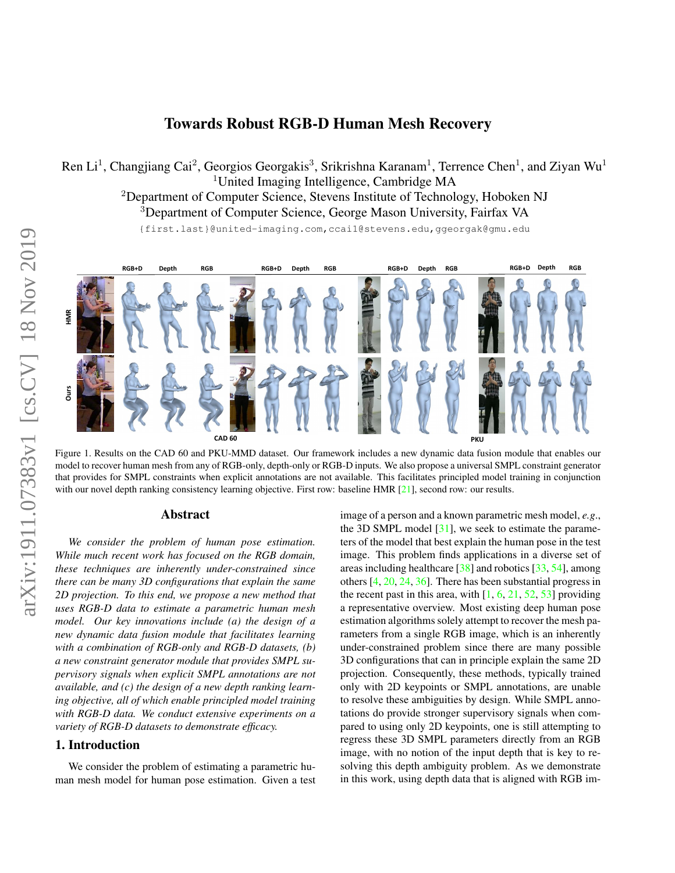# Towards Robust RGB-D Human Mesh Recovery

<span id="page-0-2"></span>Ren Li<sup>1</sup>, Changjiang Cai<sup>2</sup>, Georgios Georgakis<sup>3</sup>, Srikrishna Karanam<sup>1</sup>, Terrence Chen<sup>1</sup>, and Ziyan Wu<sup>1</sup> <sup>1</sup>United Imaging Intelligence, Cambridge MA <sup>2</sup>Department of Computer Science, Stevens Institute of Technology, Hoboken NJ <sup>3</sup>Department of Computer Science, George Mason University, Fairfax VA

{first.last}@united-imaging.com,ccai1@stevens.edu,ggeorgak@gmu.edu



<span id="page-0-0"></span>Figure 1. Results on the CAD 60 and PKU-MMD dataset. Our framework includes a new dynamic data fusion module that enables our model to recover human mesh from any of RGB-only, depth-only or RGB-D inputs. We also propose a universal SMPL constraint generator that provides for SMPL constraints when explicit annotations are not available. This facilitates principled model training in conjunction with our novel depth ranking consistency learning objective. First row: baseline HMR [\[21\]](#page-8-0), second row: our results.

# Abstract

*We consider the problem of human pose estimation. While much recent work has focused on the RGB domain, these techniques are inherently under-constrained since there can be many 3D configurations that explain the same 2D projection. To this end, we propose a new method that uses RGB-D data to estimate a parametric human mesh model. Our key innovations include (a) the design of a new dynamic data fusion module that facilitates learning with a combination of RGB-only and RGB-D datasets, (b) a new constraint generator module that provides SMPL supervisory signals when explicit SMPL annotations are not available, and (c) the design of a new depth ranking learning objective, all of which enable principled model training with RGB-D data. We conduct extensive experiments on a variety of RGB-D datasets to demonstrate efficacy.*

#### <span id="page-0-1"></span>1. Introduction

We consider the problem of estimating a parametric human mesh model for human pose estimation. Given a test image of a person and a known parametric mesh model, *e.g*., the 3D SMPL model  $[31]$ , we seek to estimate the parameters of the model that best explain the human pose in the test image. This problem finds applications in a diverse set of areas including healthcare [\[38\]](#page-9-1) and robotics [\[33,](#page-9-2) [54\]](#page-9-3), among others [\[4,](#page-8-1) [20,](#page-8-2) [24,](#page-8-3) [36\]](#page-9-4). There has been substantial progress in the recent past in this area, with  $[1, 6, 21, 52, 53]$  $[1, 6, 21, 52, 53]$  $[1, 6, 21, 52, 53]$  $[1, 6, 21, 52, 53]$  $[1, 6, 21, 52, 53]$  $[1, 6, 21, 52, 53]$  $[1, 6, 21, 52, 53]$  $[1, 6, 21, 52, 53]$  $[1, 6, 21, 52, 53]$  providing a representative overview. Most existing deep human pose estimation algorithms solely attempt to recover the mesh parameters from a single RGB image, which is an inherently under-constrained problem since there are many possible 3D configurations that can in principle explain the same 2D projection. Consequently, these methods, typically trained only with 2D keypoints or SMPL annotations, are unable to resolve these ambiguities by design. While SMPL annotations do provide stronger supervisory signals when compared to using only 2D keypoints, one is still attempting to regress these 3D SMPL parameters directly from an RGB image, with no notion of the input depth that is key to resolving this depth ambiguity problem. As we demonstrate in this work, using depth data that is aligned with RGB im-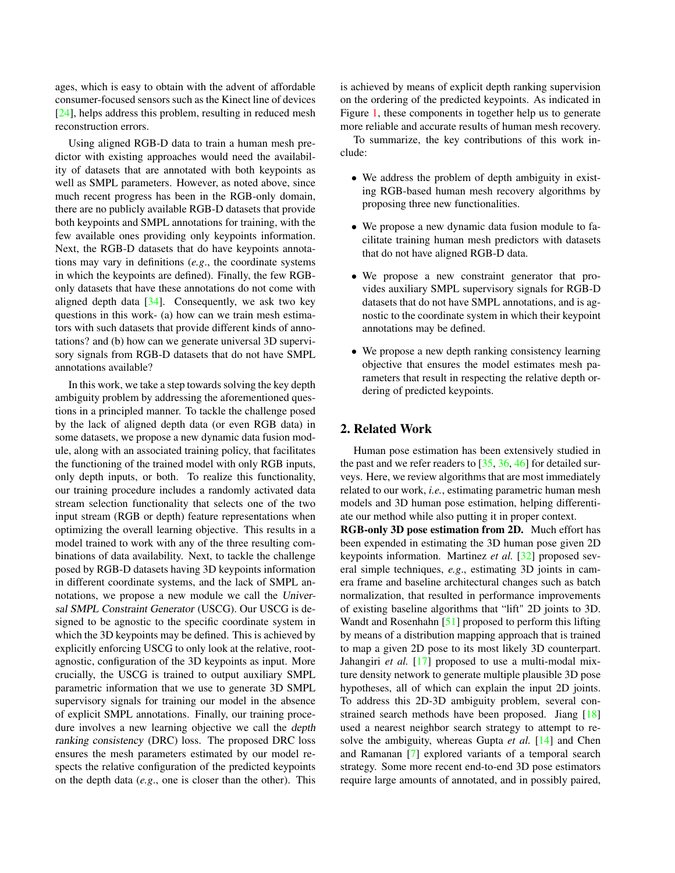<span id="page-1-0"></span>ages, which is easy to obtain with the advent of affordable consumer-focused sensors such as the Kinect line of devices [\[24\]](#page-8-3), helps address this problem, resulting in reduced mesh reconstruction errors.

Using aligned RGB-D data to train a human mesh predictor with existing approaches would need the availability of datasets that are annotated with both keypoints as well as SMPL parameters. However, as noted above, since much recent progress has been in the RGB-only domain, there are no publicly available RGB-D datasets that provide both keypoints and SMPL annotations for training, with the few available ones providing only keypoints information. Next, the RGB-D datasets that do have keypoints annotations may vary in definitions (*e.g*., the coordinate systems in which the keypoints are defined). Finally, the few RGBonly datasets that have these annotations do not come with aligned depth data  $[34]$ . Consequently, we ask two key questions in this work- (a) how can we train mesh estimators with such datasets that provide different kinds of annotations? and (b) how can we generate universal 3D supervisory signals from RGB-D datasets that do not have SMPL annotations available?

In this work, we take a step towards solving the key depth ambiguity problem by addressing the aforementioned questions in a principled manner. To tackle the challenge posed by the lack of aligned depth data (or even RGB data) in some datasets, we propose a new dynamic data fusion module, along with an associated training policy, that facilitates the functioning of the trained model with only RGB inputs, only depth inputs, or both. To realize this functionality, our training procedure includes a randomly activated data stream selection functionality that selects one of the two input stream (RGB or depth) feature representations when optimizing the overall learning objective. This results in a model trained to work with any of the three resulting combinations of data availability. Next, to tackle the challenge posed by RGB-D datasets having 3D keypoints information in different coordinate systems, and the lack of SMPL annotations, we propose a new module we call the Universal SMPL Constraint Generator (USCG). Our USCG is designed to be agnostic to the specific coordinate system in which the 3D keypoints may be defined. This is achieved by explicitly enforcing USCG to only look at the relative, rootagnostic, configuration of the 3D keypoints as input. More crucially, the USCG is trained to output auxiliary SMPL parametric information that we use to generate 3D SMPL supervisory signals for training our model in the absence of explicit SMPL annotations. Finally, our training procedure involves a new learning objective we call the depth ranking consistency (DRC) loss. The proposed DRC loss ensures the mesh parameters estimated by our model respects the relative configuration of the predicted keypoints on the depth data (*e.g*., one is closer than the other). This

is achieved by means of explicit depth ranking supervision on the ordering of the predicted keypoints. As indicated in Figure [1,](#page-0-0) these components in together help us to generate more reliable and accurate results of human mesh recovery.

To summarize, the key contributions of this work include:

- We address the problem of depth ambiguity in existing RGB-based human mesh recovery algorithms by proposing three new functionalities.
- We propose a new dynamic data fusion module to facilitate training human mesh predictors with datasets that do not have aligned RGB-D data.
- We propose a new constraint generator that provides auxiliary SMPL supervisory signals for RGB-D datasets that do not have SMPL annotations, and is agnostic to the coordinate system in which their keypoint annotations may be defined.
- We propose a new depth ranking consistency learning objective that ensures the model estimates mesh parameters that result in respecting the relative depth ordering of predicted keypoints.

# 2. Related Work

Human pose estimation has been extensively studied in the past and we refer readers to  $[35, 36, 46]$  $[35, 36, 46]$  $[35, 36, 46]$  $[35, 36, 46]$  $[35, 36, 46]$  for detailed surveys. Here, we review algorithms that are most immediately related to our work, *i.e.*, estimating parametric human mesh models and 3D human pose estimation, helping differentiate our method while also putting it in proper context.

RGB-only 3D pose estimation from 2D. Much effort has been expended in estimating the 3D human pose given 2D keypoints information. Martinez *et al.* [\[32\]](#page-9-10) proposed several simple techniques, *e.g*., estimating 3D joints in camera frame and baseline architectural changes such as batch normalization, that resulted in performance improvements of existing baseline algorithms that "lift" 2D joints to 3D. Wandt and Rosenhahn [\[51\]](#page-9-11) proposed to perform this lifting by means of a distribution mapping approach that is trained to map a given 2D pose to its most likely 3D counterpart. Jahangiri *et al.* [\[17\]](#page-8-6) proposed to use a multi-modal mixture density network to generate multiple plausible 3D pose hypotheses, all of which can explain the input 2D joints. To address this 2D-3D ambiguity problem, several constrained search methods have been proposed. Jiang [\[18\]](#page-8-7) used a nearest neighbor search strategy to attempt to resolve the ambiguity, whereas Gupta *et al.* [\[14\]](#page-8-8) and Chen and Ramanan [\[7\]](#page-8-9) explored variants of a temporal search strategy. Some more recent end-to-end 3D pose estimators require large amounts of annotated, and in possibly paired,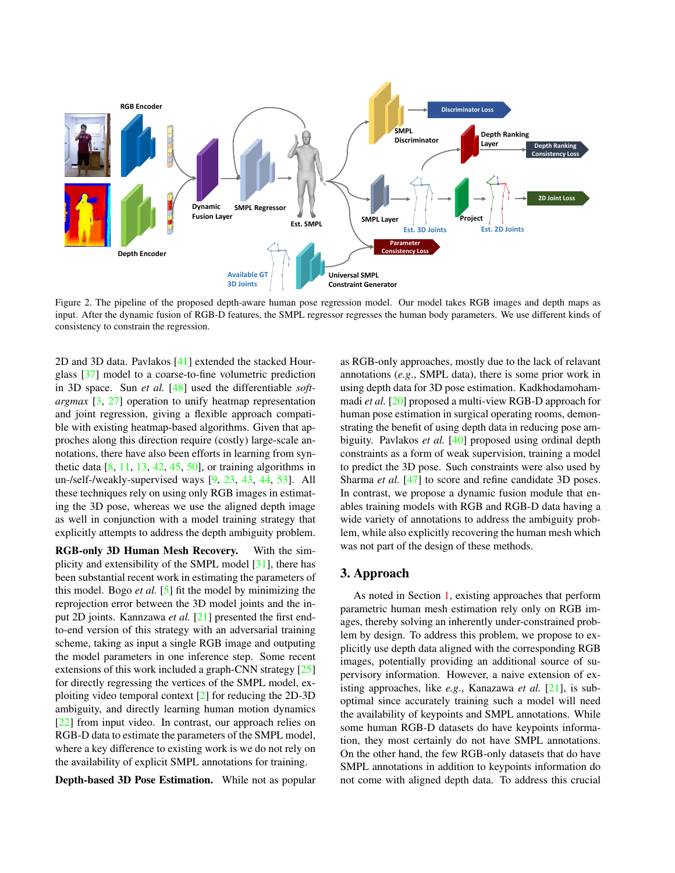<span id="page-2-1"></span>

<span id="page-2-0"></span>Figure 2. The pipeline of the proposed depth-aware human pose regression model. Our model takes RGB images and depth maps as input. After the dynamic fusion of RGB-D features, the SMPL regressor regresses the human body parameters. We use different kinds of consistency to constrain the regression.

2D and 3D data. Pavlakos [\[41\]](#page-9-12) extended the stacked Hourglass [\[37\]](#page-9-13) model to a coarse-to-fine volumetric prediction in 3D space. Sun *et al.* [\[48\]](#page-9-14) used the differentiable *softargmax* [\[3,](#page-8-10) [27\]](#page-8-11) operation to unify heatmap representation and joint regression, giving a flexible approach compatible with existing heatmap-based algorithms. Given that approches along this direction require (costly) large-scale annotations, there have also been efforts in learning from synthetic data  $[8, 11, 13, 42, 45, 50]$  $[8, 11, 13, 42, 45, 50]$  $[8, 11, 13, 42, 45, 50]$  $[8, 11, 13, 42, 45, 50]$  $[8, 11, 13, 42, 45, 50]$  $[8, 11, 13, 42, 45, 50]$  $[8, 11, 13, 42, 45, 50]$  $[8, 11, 13, 42, 45, 50]$  $[8, 11, 13, 42, 45, 50]$  $[8, 11, 13, 42, 45, 50]$  $[8, 11, 13, 42, 45, 50]$ , or training algorithms in un-/self-/weakly-supervised ways [\[9,](#page-8-15) [23,](#page-8-16) [43,](#page-9-18) [44,](#page-9-19) [53\]](#page-9-6). All these techniques rely on using only RGB images in estimating the 3D pose, whereas we use the aligned depth image as well in conjunction with a model training strategy that explicitly attempts to address the depth ambiguity problem.

RGB-only 3D Human Mesh Recovery. With the simplicity and extensibility of the SMPL model [\[31\]](#page-9-0), there has been substantial recent work in estimating the parameters of this model. Bogo *et al.* [\[5\]](#page-8-17) fit the model by minimizing the reprojection error between the 3D model joints and the input 2D joints. Kannzawa *et al.* [\[21\]](#page-8-0) presented the first endto-end version of this strategy with an adversarial training scheme, taking as input a single RGB image and outputing the model parameters in one inference step. Some recent extensions of this work included a graph-CNN strategy [\[25\]](#page-8-18) for directly regressing the vertices of the SMPL model, exploiting video temporal context [\[2\]](#page-8-19) for reducing the 2D-3D ambiguity, and directly learning human motion dynamics [\[22\]](#page-8-20) from input video. In contrast, our approach relies on RGB-D data to estimate the parameters of the SMPL model, where a key difference to existing work is we do not rely on the availability of explicit SMPL annotations for training.

Depth-based 3D Pose Estimation. While not as popular

as RGB-only approaches, mostly due to the lack of relavant annotations (*e.g*., SMPL data), there is some prior work in using depth data for 3D pose estimation. Kadkhodamohammadi *et al.* [\[20\]](#page-8-2) proposed a multi-view RGB-D approach for human pose estimation in surgical operating rooms, demonstrating the benefit of using depth data in reducing pose ambiguity. Pavlakos *et al.* [\[40\]](#page-9-20) proposed using ordinal depth constraints as a form of weak supervision, training a model to predict the 3D pose. Such constraints were also used by Sharma *et al.* [\[47\]](#page-9-21) to score and refine candidate 3D poses. In contrast, we propose a dynamic fusion module that enables training models with RGB and RGB-D data having a wide variety of annotations to address the ambiguity problem, while also explicitly recovering the human mesh which was not part of the design of these methods.

### 3. Approach

As noted in Section [1,](#page-0-1) existing approaches that perform parametric human mesh estimation rely only on RGB images, thereby solving an inherently under-constrained problem by design. To address this problem, we propose to explicitly use depth data aligned with the corresponding RGB images, potentially providing an additional source of supervisory information. However, a naive extension of existing approaches, like *e.g.*, Kanazawa *et al.* [\[21\]](#page-8-0), is suboptimal since accurately training such a model will need the availability of keypoints and SMPL annotations. While some human RGB-D datasets do have keypoints information, they most certainly do not have SMPL annotations. On the other hand, the few RGB-only datasets that do have SMPL annotations in addition to keypoints information do not come with aligned depth data. To address this crucial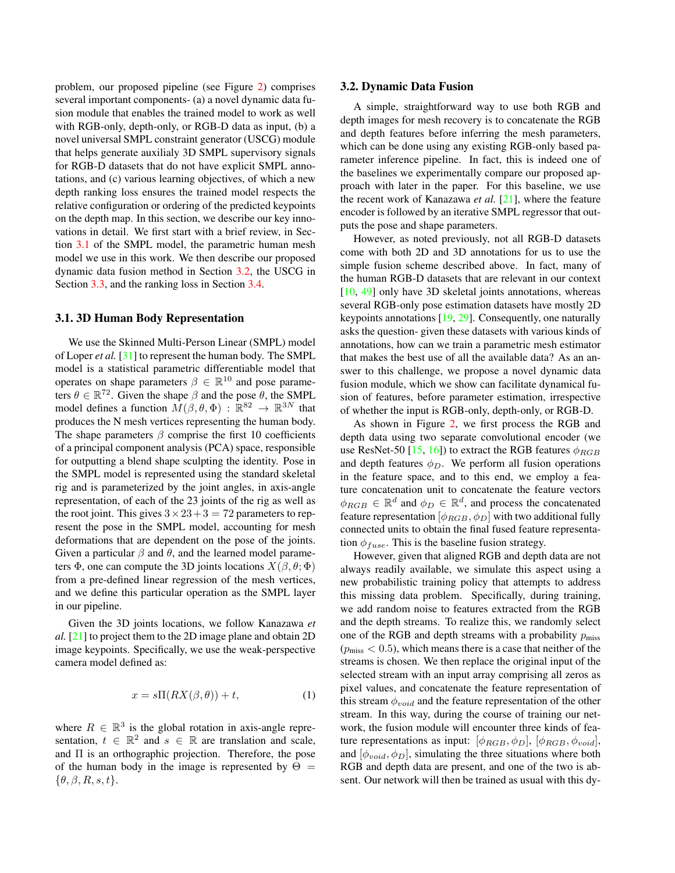<span id="page-3-2"></span>problem, our proposed pipeline (see Figure [2\)](#page-2-0) comprises several important components- (a) a novel dynamic data fusion module that enables the trained model to work as well with RGB-only, depth-only, or RGB-D data as input, (b) a novel universal SMPL constraint generator (USCG) module that helps generate auxilialy 3D SMPL supervisory signals for RGB-D datasets that do not have explicit SMPL annotations, and (c) various learning objectives, of which a new depth ranking loss ensures the trained model respects the relative configuration or ordering of the predicted keypoints on the depth map. In this section, we describe our key innovations in detail. We first start with a brief review, in Section [3.1](#page-3-0) of the SMPL model, the parametric human mesh model we use in this work. We then describe our proposed dynamic data fusion method in Section [3.2,](#page-3-1) the USCG in Section [3.3,](#page-4-0) and the ranking loss in Section [3.4.](#page-4-1)

#### <span id="page-3-0"></span>3.1. 3D Human Body Representation

We use the Skinned Multi-Person Linear (SMPL) model of Loper *et al.* [\[31\]](#page-9-0) to represent the human body. The SMPL model is a statistical parametric differentiable model that operates on shape parameters  $\beta \in \mathbb{R}^{10}$  and pose parameters  $\theta \in \mathbb{R}^{72}$ . Given the shape  $\beta$  and the pose  $\theta$ , the SMPL model defines a function  $M(\beta, \theta, \Phi)$  :  $\mathbb{R}^{82} \to \mathbb{R}^{3N}$  that produces the N mesh vertices representing the human body. The shape parameters  $\beta$  comprise the first 10 coefficients of a principal component analysis (PCA) space, responsible for outputting a blend shape sculpting the identity. Pose in the SMPL model is represented using the standard skeletal rig and is parameterized by the joint angles, in axis-angle representation, of each of the 23 joints of the rig as well as the root joint. This gives  $3 \times 23 + 3 = 72$  parameters to represent the pose in the SMPL model, accounting for mesh deformations that are dependent on the pose of the joints. Given a particular  $\beta$  and  $\theta$ , and the learned model parameters  $\Phi$ , one can compute the 3D joints locations  $X(\beta, \theta; \Phi)$ from a pre-defined linear regression of the mesh vertices, and we define this particular operation as the SMPL layer in our pipeline.

Given the 3D joints locations, we follow Kanazawa *et al.* [\[21\]](#page-8-0) to project them to the 2D image plane and obtain 2D image keypoints. Specifically, we use the weak-perspective camera model defined as:

$$
x = s\Pi(RX(\beta,\theta)) + t,\tag{1}
$$

where  $R \in \mathbb{R}^3$  is the global rotation in axis-angle representation,  $t \in \mathbb{R}^2$  and  $s \in \mathbb{R}$  are translation and scale, and Π is an orthographic projection. Therefore, the pose of the human body in the image is represented by  $\Theta =$  $\{\theta, \beta, R, s, t\}.$ 

#### <span id="page-3-1"></span>3.2. Dynamic Data Fusion

A simple, straightforward way to use both RGB and depth images for mesh recovery is to concatenate the RGB and depth features before inferring the mesh parameters, which can be done using any existing RGB-only based parameter inference pipeline. In fact, this is indeed one of the baselines we experimentally compare our proposed approach with later in the paper. For this baseline, we use the recent work of Kanazawa *et al.* [\[21\]](#page-8-0), where the feature encoder is followed by an iterative SMPL regressor that outputs the pose and shape parameters.

However, as noted previously, not all RGB-D datasets come with both 2D and 3D annotations for us to use the simple fusion scheme described above. In fact, many of the human RGB-D datasets that are relevant in our context [\[10,](#page-8-21) [49\]](#page-9-22) only have 3D skeletal joints annotations, whereas several RGB-only pose estimation datasets have mostly 2D keypoints annotations [\[19,](#page-8-22) [29\]](#page-8-23). Consequently, one naturally asks the question- given these datasets with various kinds of annotations, how can we train a parametric mesh estimator that makes the best use of all the available data? As an answer to this challenge, we propose a novel dynamic data fusion module, which we show can facilitate dynamical fusion of features, before parameter estimation, irrespective of whether the input is RGB-only, depth-only, or RGB-D.

As shown in Figure [2,](#page-2-0) we first process the RGB and depth data using two separate convolutional encoder (we use ResNet-50 [\[15,](#page-8-24) [16\]](#page-8-25)) to extract the RGB features  $\phi_{RGB}$ and depth features  $\phi_D$ . We perform all fusion operations in the feature space, and to this end, we employ a feature concatenation unit to concatenate the feature vectors  $\phi_{RGB} \in \mathbb{R}^d$  and  $\phi_D \in \mathbb{R}^d$ , and process the concatenated feature representation  $[\phi_{RGB}, \phi_{D}]$  with two additional fully connected units to obtain the final fused feature representation  $\phi_{fuse}$ . This is the baseline fusion strategy.

However, given that aligned RGB and depth data are not always readily available, we simulate this aspect using a new probabilistic training policy that attempts to address this missing data problem. Specifically, during training, we add random noise to features extracted from the RGB and the depth streams. To realize this, we randomly select one of the RGB and depth streams with a probability  $p_{\text{miss}}$  $(p_{\text{miss}} < 0.5)$ , which means there is a case that neither of the streams is chosen. We then replace the original input of the selected stream with an input array comprising all zeros as pixel values, and concatenate the feature representation of this stream  $\phi_{void}$  and the feature representation of the other stream. In this way, during the course of training our network, the fusion module will encounter three kinds of feature representations as input:  $[\phi_{RGB}, \phi_D], [\phi_{RGB}, \phi_{void}],$ and  $[\phi_{void}, \phi_D]$ , simulating the three situations where both RGB and depth data are present, and one of the two is absent. Our network will then be trained as usual with this dy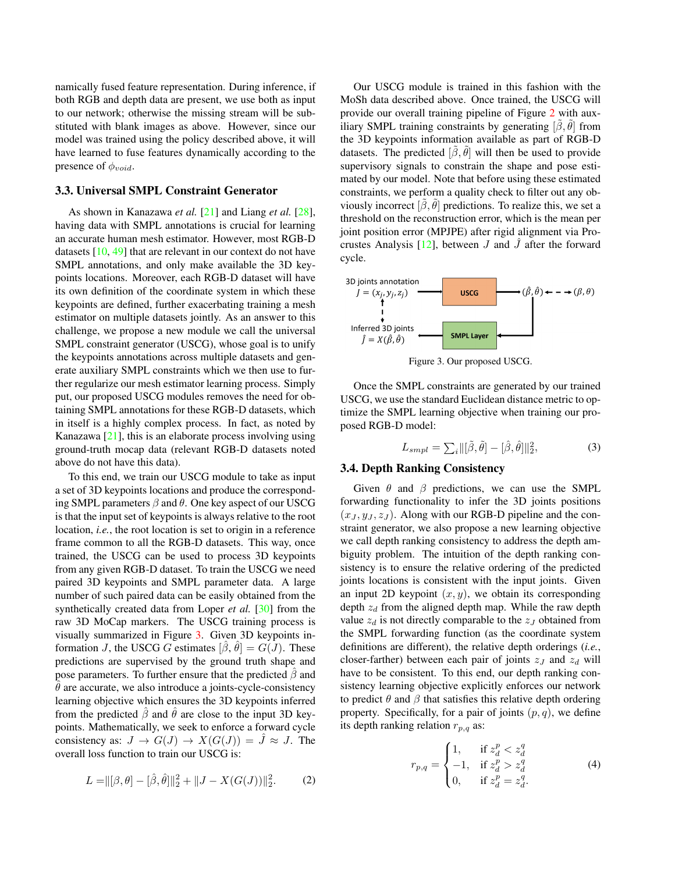<span id="page-4-4"></span>namically fused feature representation. During inference, if both RGB and depth data are present, we use both as input to our network; otherwise the missing stream will be substituted with blank images as above. However, since our model was trained using the policy described above, it will have learned to fuse features dynamically according to the presence of  $\phi_{void}$ .

#### <span id="page-4-0"></span>3.3. Universal SMPL Constraint Generator

As shown in Kanazawa *et al.* [\[21\]](#page-8-0) and Liang *et al.* [\[28\]](#page-8-26), having data with SMPL annotations is crucial for learning an accurate human mesh estimator. However, most RGB-D datasets [\[10,](#page-8-21) [49\]](#page-9-22) that are relevant in our context do not have SMPL annotations, and only make available the 3D keypoints locations. Moreover, each RGB-D dataset will have its own definition of the coordinate system in which these keypoints are defined, further exacerbating training a mesh estimator on multiple datasets jointly. As an answer to this challenge, we propose a new module we call the universal SMPL constraint generator (USCG), whose goal is to unify the keypoints annotations across multiple datasets and generate auxiliary SMPL constraints which we then use to further regularize our mesh estimator learning process. Simply put, our proposed USCG modules removes the need for obtaining SMPL annotations for these RGB-D datasets, which in itself is a highly complex process. In fact, as noted by Kanazawa [\[21\]](#page-8-0), this is an elaborate process involving using ground-truth mocap data (relevant RGB-D datasets noted above do not have this data).

To this end, we train our USCG module to take as input a set of 3D keypoints locations and produce the corresponding SMPL parameters  $\beta$  and  $\theta$ . One key aspect of our USCG is that the input set of keypoints is always relative to the root location, *i.e.*, the root location is set to origin in a reference frame common to all the RGB-D datasets. This way, once trained, the USCG can be used to process 3D keypoints from any given RGB-D dataset. To train the USCG we need paired 3D keypoints and SMPL parameter data. A large number of such paired data can be easily obtained from the synthetically created data from Loper *et al.* [\[30\]](#page-9-23) from the raw 3D MoCap markers. The USCG training process is visually summarized in Figure [3.](#page-4-2) Given 3D keypoints information J, the USCG G estimates  $[\hat{\beta}, \hat{\theta}] = G(\hat{J})$ . These predictions are supervised by the ground truth shape and pose parameters. To further ensure that the predicted  $\beta$  and  $\hat{\theta}$  are accurate, we also introduce a joints-cycle-consistency learning objective which ensures the 3D keypoints inferred from the predicted  $\hat{\beta}$  and  $\hat{\theta}$  are close to the input 3D keypoints. Mathematically, we seek to enforce a forward cycle consistency as:  $J \to G(J) \to X(G(J)) = \hat{J} \approx J$ . The overall loss function to train our USCG is:

$$
L = ||[\beta, \theta] - [\hat{\beta}, \hat{\theta}]||_2^2 + ||J - X(G(J))||_2^2.
$$
 (2)

Our USCG module is trained in this fashion with the MoSh data described above. Once trained, the USCG will provide our overall training pipeline of Figure [2](#page-2-0) with auxiliary SMPL training constraints by generating  $[\tilde{\beta}, \tilde{\theta}]$  from the 3D keypoints information available as part of RGB-D datasets. The predicted  $[\beta, \theta]$  will then be used to provide supervisory signals to constrain the shape and pose estimated by our model. Note that before using these estimated constraints, we perform a quality check to filter out any obviously incorrect  $[\hat{\beta}, \hat{\theta}]$  predictions. To realize this, we set a threshold on the reconstruction error, which is the mean per joint position error (MPJPE) after rigid alignment via Procrustes Analysis  $[12]$ , between  $J$  and  $J$  after the forward cycle.



<span id="page-4-2"></span>Figure 3. Our proposed USCG.

Once the SMPL constraints are generated by our trained USCG, we use the standard Euclidean distance metric to optimize the SMPL learning objective when training our proposed RGB-D model:

<span id="page-4-3"></span>
$$
L_{sml} = \sum_{i} ||[\tilde{\beta}, \tilde{\theta}] - [\hat{\beta}, \hat{\theta}]||_2^2, \tag{3}
$$

#### <span id="page-4-1"></span>3.4. Depth Ranking Consistency

Given  $\theta$  and  $\beta$  predictions, we can use the SMPL forwarding functionality to infer the 3D joints positions  $(x_J, y_J, z_J)$ . Along with our RGB-D pipeline and the constraint generator, we also propose a new learning objective we call depth ranking consistency to address the depth ambiguity problem. The intuition of the depth ranking consistency is to ensure the relative ordering of the predicted joints locations is consistent with the input joints. Given an input 2D keypoint  $(x, y)$ , we obtain its corresponding depth  $z_d$  from the aligned depth map. While the raw depth value  $z_d$  is not directly comparable to the  $z_J$  obtained from the SMPL forwarding function (as the coordinate system definitions are different), the relative depth orderings (*i.e.*, closer-farther) between each pair of joints  $z_I$  and  $z_d$  will have to be consistent. To this end, our depth ranking consistency learning objective explicitly enforces our network to predict  $\theta$  and  $\beta$  that satisfies this relative depth ordering property. Specifically, for a pair of joints  $(p, q)$ , we define its depth ranking relation  $r_{p,q}$  as:

$$
r_{p,q} = \begin{cases} 1, & \text{if } z_d^p < z_d^q \\ -1, & \text{if } z_d^p > z_d^q \\ 0, & \text{if } z_d^p = z_d^q. \end{cases}
$$
 (4)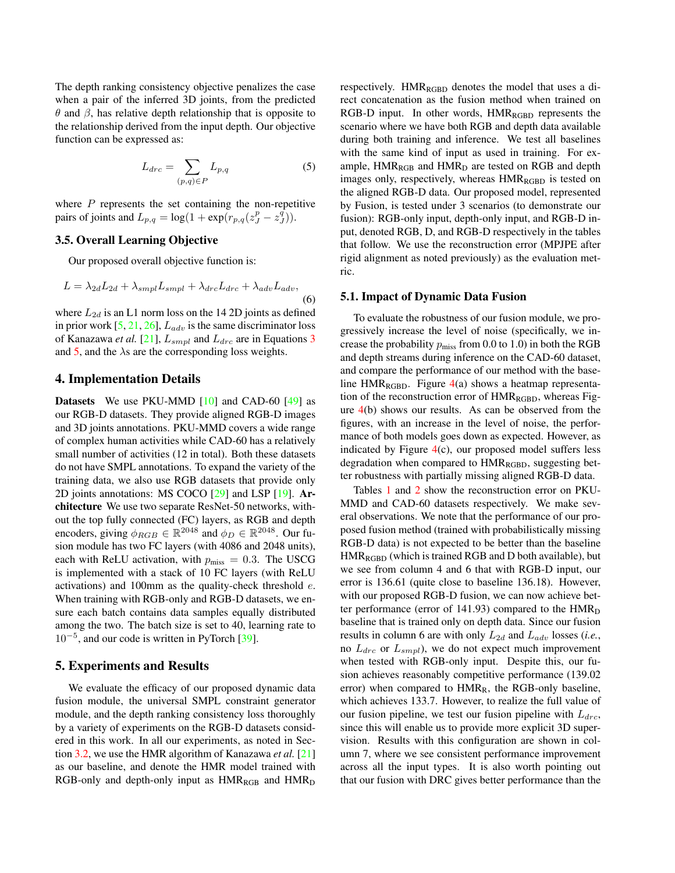<span id="page-5-1"></span>The depth ranking consistency objective penalizes the case when a pair of the inferred 3D joints, from the predicted  $θ$  and  $β$ , has relative depth relationship that is opposite to the relationship derived from the input depth. Our objective function can be expressed as:

<span id="page-5-0"></span>
$$
L_{drc} = \sum_{(p,q)\in P} L_{p,q} \tag{5}
$$

where  $P$  represents the set containing the non-repetitive pairs of joints and  $L_{p,q} = \log(1 + \exp(r_{p,q}(z_J^p - z_J^{\tilde{q}})).$ 

#### 3.5. Overall Learning Objective

Our proposed overall objective function is:

$$
L = \lambda_{2d} L_{2d} + \lambda_{smpl} L_{smpl} + \lambda_{drc} L_{drc} + \lambda_{adv} L_{adv},
$$
\n(6)

where  $L_{2d}$  is an L1 norm loss on the 14 2D joints as defined in prior work  $[5, 21, 26]$  $[5, 21, 26]$  $[5, 21, 26]$  $[5, 21, 26]$  $[5, 21, 26]$ ,  $L_{adv}$  is the same discriminator loss of Kanazawa *et al.* [\[21\]](#page-8-0),  $L_{sml}$  and  $L_{drc}$  are in Equations [3](#page-4-3) and [5,](#page-5-0) and the  $\lambda$ s are the corresponding loss weights.

### 4. Implementation Details

Datasets We use PKU-MMD [\[10\]](#page-8-21) and CAD-60 [\[49\]](#page-9-22) as our RGB-D datasets. They provide aligned RGB-D images and 3D joints annotations. PKU-MMD covers a wide range of complex human activities while CAD-60 has a relatively small number of activities (12 in total). Both these datasets do not have SMPL annotations. To expand the variety of the training data, we also use RGB datasets that provide only 2D joints annotations: MS COCO [\[29\]](#page-8-23) and LSP [\[19\]](#page-8-22). Architecture We use two separate ResNet-50 networks, without the top fully connected (FC) layers, as RGB and depth encoders, giving  $\phi_{RGB} \in \mathbb{R}^{2048}$  and  $\phi_D \in \mathbb{R}^{2048}$ . Our fusion module has two FC layers (with 4086 and 2048 units), each with ReLU activation, with  $p_{\text{miss}} = 0.3$ . The USCG is implemented with a stack of 10 FC layers (with ReLU activations) and 100mm as the quality-check threshold e. When training with RGB-only and RGB-D datasets, we ensure each batch contains data samples equally distributed among the two. The batch size is set to 40, learning rate to 10<sup>−</sup><sup>5</sup> , and our code is written in PyTorch [\[39\]](#page-9-24).

## 5. Experiments and Results

We evaluate the efficacy of our proposed dynamic data fusion module, the universal SMPL constraint generator module, and the depth ranking consistency loss thoroughly by a variety of experiments on the RGB-D datasets considered in this work. In all our experiments, as noted in Section [3.2,](#page-3-1) we use the HMR algorithm of Kanazawa *et al.* [\[21\]](#page-8-0) as our baseline, and denote the HMR model trained with RGB-only and depth-only input as  $HMR_{RGB}$  and  $HMR_D$  respectively.  $HMR_{RGBD}$  denotes the model that uses a direct concatenation as the fusion method when trained on RGB-D input. In other words,  $HMR_{RGBD}$  represents the scenario where we have both RGB and depth data available during both training and inference. We test all baselines with the same kind of input as used in training. For example,  $HMR_{RGB}$  and  $HMR_D$  are tested on RGB and depth images only, respectively, whereas  $HMR_{RGBD}$  is tested on the aligned RGB-D data. Our proposed model, represented by Fusion, is tested under 3 scenarios (to demonstrate our fusion): RGB-only input, depth-only input, and RGB-D input, denoted RGB, D, and RGB-D respectively in the tables that follow. We use the reconstruction error (MPJPE after rigid alignment as noted previously) as the evaluation metric.

#### 5.1. Impact of Dynamic Data Fusion

To evaluate the robustness of our fusion module, we progressively increase the level of noise (specifically, we increase the probability  $p_{\text{miss}}$  from 0.0 to 1.0) in both the RGB and depth streams during inference on the CAD-60 dataset, and compare the performance of our method with the baseline HMR<sub>RGBD</sub>. Figure  $4(a)$  $4(a)$  shows a heatmap representation of the reconstruction error of  $HMR_{RGBD}$ , whereas Figure [4\(](#page-6-0)b) shows our results. As can be observed from the figures, with an increase in the level of noise, the performance of both models goes down as expected. However, as indicated by Figure  $4(c)$  $4(c)$ , our proposed model suffers less degradation when compared to HMR<sub>RGBD</sub>, suggesting better robustness with partially missing aligned RGB-D data.

Tables [1](#page-6-1) and [2](#page-7-0) show the reconstruction error on PKU-MMD and CAD-60 datasets respectively. We make several observations. We note that the performance of our proposed fusion method (trained with probabilistically missing RGB-D data) is not expected to be better than the baseline  $HMR_{RGBD}$  (which is trained RGB and D both available), but we see from column 4 and 6 that with RGB-D input, our error is 136.61 (quite close to baseline 136.18). However, with our proposed RGB-D fusion, we can now achieve better performance (error of  $141.93$ ) compared to the  $HMR_D$ baseline that is trained only on depth data. Since our fusion results in column 6 are with only  $L_{2d}$  and  $L_{adv}$  losses (*i.e.*, no  $L_{\text{drc}}$  or  $L_{\text{smpl}}$ ), we do not expect much improvement when tested with RGB-only input. Despite this, our fusion achieves reasonably competitive performance (139.02 error) when compared to  $HMR<sub>R</sub>$ , the RGB-only baseline, which achieves 133.7. However, to realize the full value of our fusion pipeline, we test our fusion pipeline with  $L_{\text{drc}}$ , since this will enable us to provide more explicit 3D supervision. Results with this configuration are shown in column 7, where we see consistent performance improvement across all the input types. It is also worth pointing out that our fusion with DRC gives better performance than the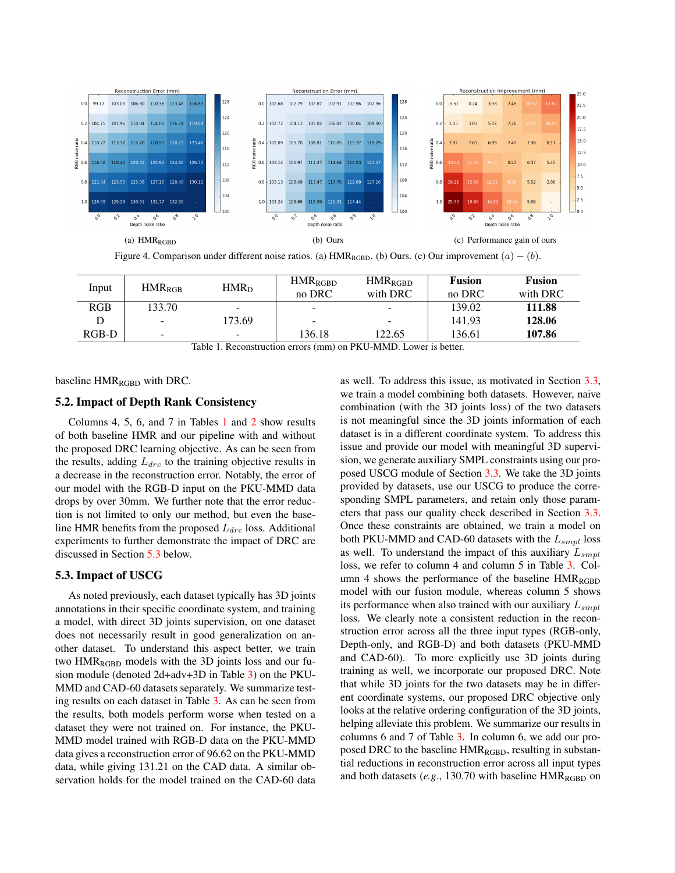

<span id="page-6-0"></span>

| Input | $HMR_{RGR}$              | $HMR_D$ | $HMR_{RGBD}$<br>no DRC   | $HMR_{RGBD}$<br>with DRC | <b>Fusion</b><br>no DRC | <b>Fusion</b><br>with DRC |
|-------|--------------------------|---------|--------------------------|--------------------------|-------------------------|---------------------------|
| RGB   | 133.70                   | -       | $\overline{\phantom{a}}$ | $\overline{\phantom{0}}$ | 139.02                  | 111.88                    |
|       | $\overline{\phantom{a}}$ | 173.69  | -                        | -                        | 141.93                  | 128.06                    |
| RGB-D | $\overline{\phantom{a}}$ | -       | 136.18                   | 122.65                   | 136.61                  | 107.86                    |

<span id="page-6-1"></span>Table 1. Reconstruction errors (mm) on PKU-MMD. Lower is better.

baseline HMR<sub>RGBD</sub> with DRC.

### 5.2. Impact of Depth Rank Consistency

Columns 4, 5, 6, and 7 in Tables [1](#page-6-1) and [2](#page-7-0) show results of both baseline HMR and our pipeline with and without the proposed DRC learning objective. As can be seen from the results, adding  $L_{dec}$  to the training objective results in a decrease in the reconstruction error. Notably, the error of our model with the RGB-D input on the PKU-MMD data drops by over 30mm. We further note that the error reduction is not limited to only our method, but even the baseline HMR benefits from the proposed  $L_{\text{d}rc}$  loss. Additional experiments to further demonstrate the impact of DRC are discussed in Section [5.3](#page-6-2) below.

### <span id="page-6-2"></span>5.3. Impact of USCG

As noted previously, each dataset typically has 3D joints annotations in their specific coordinate system, and training a model, with direct 3D joints supervision, on one dataset does not necessarily result in good generalization on another dataset. To understand this aspect better, we train two  $HMR_{RGBD}$  models with the 3D joints loss and our fusion module (denoted 2d+adv+3D in Table [3\)](#page-7-1) on the PKU-MMD and CAD-60 datasets separately. We summarize testing results on each dataset in Table [3.](#page-7-1) As can be seen from the results, both models perform worse when tested on a dataset they were not trained on. For instance, the PKU-MMD model trained with RGB-D data on the PKU-MMD data gives a reconstruction error of 96.62 on the PKU-MMD data, while giving 131.21 on the CAD data. A similar observation holds for the model trained on the CAD-60 data

as well. To address this issue, as motivated in Section [3.3,](#page-4-0) we train a model combining both datasets. However, naive combination (with the 3D joints loss) of the two datasets is not meaningful since the 3D joints information of each dataset is in a different coordinate system. To address this issue and provide our model with meaningful 3D supervision, we generate auxiliary SMPL constraints using our proposed USCG module of Section [3.3.](#page-4-0) We take the 3D joints provided by datasets, use our USCG to produce the corresponding SMPL parameters, and retain only those parameters that pass our quality check described in Section [3.3.](#page-4-0) Once these constraints are obtained, we train a model on both PKU-MMD and CAD-60 datasets with the  $L_{sml}$  loss as well. To understand the impact of this auxiliary  $L_{sml}$ loss, we refer to column 4 and column 5 in Table [3.](#page-7-1) Column 4 shows the performance of the baseline  $HMR_{RGBD}$ model with our fusion module, whereas column 5 shows its performance when also trained with our auxiliary  $L_{sml}$ loss. We clearly note a consistent reduction in the reconstruction error across all the three input types (RGB-only, Depth-only, and RGB-D) and both datasets (PKU-MMD and CAD-60). To more explicitly use 3D joints during training as well, we incorporate our proposed DRC. Note that while 3D joints for the two datasets may be in different coordinate systems, our proposed DRC objective only looks at the relative ordering configuration of the 3D joints, helping alleviate this problem. We summarize our results in columns 6 and 7 of Table [3.](#page-7-1) In column 6, we add our proposed DRC to the baseline  $HMR_{RGBD}$ , resulting in substantial reductions in reconstruction error across all input types and both datasets  $(e.g., 130.70$  with baseline  $HMR_{RGBD}$  on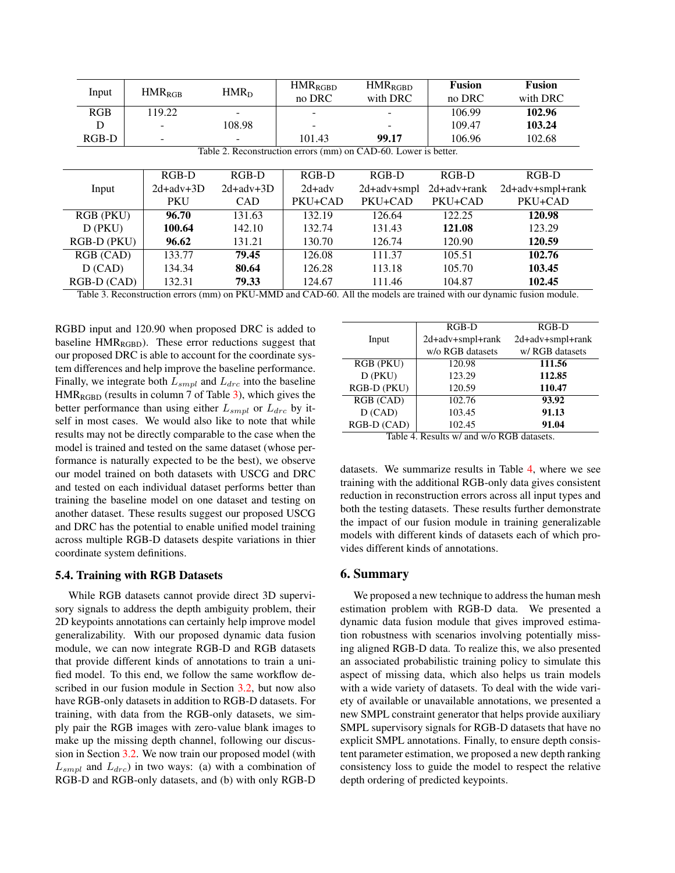<span id="page-7-0"></span>

| Input                                                           | $HMR_{RGB}$ | HMR <sub>D</sub> | <b>HMR</b> <sub>RGBD</sub><br>no DRC | <b>HMR</b> <sub>RGBD</sub><br>with DRC | <b>Fusion</b><br>no DRC | <b>Fusion</b><br>with DRC |  |
|-----------------------------------------------------------------|-------------|------------------|--------------------------------------|----------------------------------------|-------------------------|---------------------------|--|
|                                                                 |             |                  |                                      |                                        |                         |                           |  |
| <b>RGB</b>                                                      | 119.22      |                  |                                      |                                        | 106.99                  | 102.96                    |  |
| D                                                               |             | 108.98           |                                      |                                        | 109.47                  | 103.24                    |  |
| $RGB-D$                                                         |             |                  | 101.43                               | 99.17                                  | 106.96                  | 102.68                    |  |
| Table 2. Reconstruction errors (mm) on CAD-60. Lower is better. |             |                  |                                      |                                        |                         |                           |  |
|                                                                 |             |                  |                                      |                                        |                         |                           |  |
|                                                                 | $RGB-D$     | $RGB-D$          | RGB-D                                | RGB-D                                  | $RGB-D$                 | $RGB-D$                   |  |
| Input                                                           | $2d+adv+3D$ | $2d + adv + 3D$  | $2d+adv$                             | $2d+adv+smpl$                          | $2d+adv+rank$           | $2d+adv+smpl+rank$        |  |
|                                                                 | <b>PKU</b>  | <b>CAD</b>       | PKU+CAD                              | PKU+CAD                                | PKU+CAD                 | PKU+CAD                   |  |
| RGB (PKU)                                                       | 96.70       | 131.63           | 132.19                               | 126.64                                 | 122.25                  | 120.98                    |  |
| $D$ (PKU)                                                       | 100.64      | 142.10           | 132.74                               | 131.43                                 | 121.08                  | 123.29                    |  |
| RGB-D (PKU)                                                     | 96.62       | 131.21           | 130.70                               | 126.74                                 | 120.90                  | 120.59                    |  |
| RGB (CAD)                                                       | 133.77      | 79.45            | 126.08                               | 111.37                                 | 105.51                  | 102.76                    |  |
| D (CAD)                                                         | 134.34      | 80.64            | 126.28                               | 113.18                                 | 105.70                  | 103.45                    |  |
| RGB-D (CAD)                                                     | 132.31      | 79.33            | 124.67                               | 111.46                                 | 104.87                  | 102.45                    |  |

<span id="page-7-1"></span>Table 3. Reconstruction errors (mm) on PKU-MMD and CAD-60. All the models are trained with our dynamic fusion module.

RGBD input and 120.90 when proposed DRC is added to baseline  $HMR_{RGBD}$ ). These error reductions suggest that our proposed DRC is able to account for the coordinate system differences and help improve the baseline performance. Finally, we integrate both  $L_{smpl}$  and  $L_{drc}$  into the baseline  $HMR_{RGBD}$  (results in column 7 of Table [3\)](#page-7-1), which gives the better performance than using either  $L_{smpl}$  or  $L_{drc}$  by itself in most cases. We would also like to note that while results may not be directly comparable to the case when the model is trained and tested on the same dataset (whose performance is naturally expected to be the best), we observe our model trained on both datasets with USCG and DRC and tested on each individual dataset performs better than training the baseline model on one dataset and testing on another dataset. These results suggest our proposed USCG and DRC has the potential to enable unified model training across multiple RGB-D datasets despite variations in thier coordinate system definitions.

#### 5.4. Training with RGB Datasets

While RGB datasets cannot provide direct 3D supervisory signals to address the depth ambiguity problem, their 2D keypoints annotations can certainly help improve model generalizability. With our proposed dynamic data fusion module, we can now integrate RGB-D and RGB datasets that provide different kinds of annotations to train a unified model. To this end, we follow the same workflow described in our fusion module in Section [3.2,](#page-3-1) but now also have RGB-only datasets in addition to RGB-D datasets. For training, with data from the RGB-only datasets, we simply pair the RGB images with zero-value blank images to make up the missing depth channel, following our discussion in Section [3.2.](#page-3-1) We now train our proposed model (with  $L_{smpl}$  and  $L_{drc}$ ) in two ways: (a) with a combination of RGB-D and RGB-only datasets, and (b) with only RGB-D

|                                         | RGB-D            | RGB-D            |  |  |  |
|-----------------------------------------|------------------|------------------|--|--|--|
| Input                                   | 2d+adv+smpl+rank | 2d+adv+smpl+rank |  |  |  |
|                                         | w/o RGB datasets | w/ RGB datasets  |  |  |  |
| RGB (PKU)                               | 120.98           | 111.56           |  |  |  |
| $D$ (PKU)                               | 123.29           | 112.85           |  |  |  |
| RGB-D (PKU)                             | 120.59           | 110.47           |  |  |  |
| RGB (CAD)                               | 102.76           | 93.92            |  |  |  |
| D (CAD)                                 | 103.45           | 91.13            |  |  |  |
| RGB-D (CAD)                             | 102.45           | 91.04            |  |  |  |
| Table 4 Results w/ and w/o RGR datasets |                  |                  |  |  |  |

<span id="page-7-2"></span>Table 4. Results w/ and w/o RGB datasets.

datasets. We summarize results in Table [4,](#page-7-2) where we see training with the additional RGB-only data gives consistent reduction in reconstruction errors across all input types and both the testing datasets. These results further demonstrate the impact of our fusion module in training generalizable models with different kinds of datasets each of which provides different kinds of annotations.

#### 6. Summary

We proposed a new technique to address the human mesh estimation problem with RGB-D data. We presented a dynamic data fusion module that gives improved estimation robustness with scenarios involving potentially missing aligned RGB-D data. To realize this, we also presented an associated probabilistic training policy to simulate this aspect of missing data, which also helps us train models with a wide variety of datasets. To deal with the wide variety of available or unavailable annotations, we presented a new SMPL constraint generator that helps provide auxiliary SMPL supervisory signals for RGB-D datasets that have no explicit SMPL annotations. Finally, to ensure depth consistent parameter estimation, we proposed a new depth ranking consistency loss to guide the model to respect the relative depth ordering of predicted keypoints.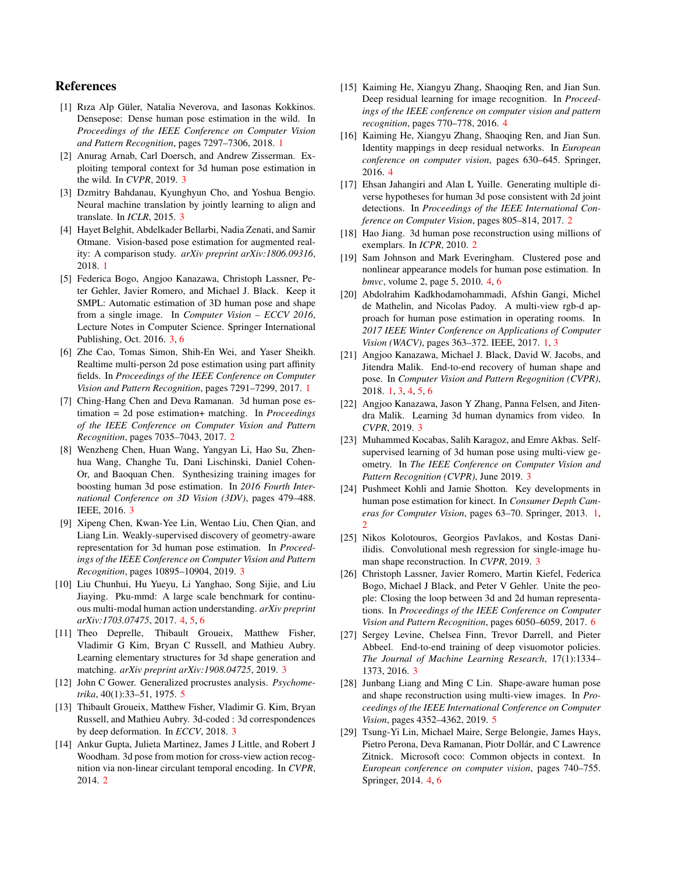# References

- <span id="page-8-4"></span>[1] Rıza Alp Güler, Natalia Neverova, and Iasonas Kokkinos. Densepose: Dense human pose estimation in the wild. In *Proceedings of the IEEE Conference on Computer Vision and Pattern Recognition*, pages 7297–7306, 2018. [1](#page-0-2)
- <span id="page-8-19"></span>[2] Anurag Arnab, Carl Doersch, and Andrew Zisserman. Exploiting temporal context for 3d human pose estimation in the wild. In *CVPR*, 2019. [3](#page-2-1)
- <span id="page-8-10"></span>[3] Dzmitry Bahdanau, Kyunghyun Cho, and Yoshua Bengio. Neural machine translation by jointly learning to align and translate. In *ICLR*, 2015. [3](#page-2-1)
- <span id="page-8-1"></span>[4] Hayet Belghit, Abdelkader Bellarbi, Nadia Zenati, and Samir Otmane. Vision-based pose estimation for augmented reality: A comparison study. *arXiv preprint arXiv:1806.09316*, 2018. [1](#page-0-2)
- <span id="page-8-17"></span>[5] Federica Bogo, Angjoo Kanazawa, Christoph Lassner, Peter Gehler, Javier Romero, and Michael J. Black. Keep it SMPL: Automatic estimation of 3D human pose and shape from a single image. In *Computer Vision – ECCV 2016*, Lecture Notes in Computer Science. Springer International Publishing, Oct. 2016. [3,](#page-2-1) [6](#page-5-1)
- <span id="page-8-5"></span>[6] Zhe Cao, Tomas Simon, Shih-En Wei, and Yaser Sheikh. Realtime multi-person 2d pose estimation using part affinity fields. In *Proceedings of the IEEE Conference on Computer Vision and Pattern Recognition*, pages 7291–7299, 2017. [1](#page-0-2)
- <span id="page-8-9"></span>[7] Ching-Hang Chen and Deva Ramanan. 3d human pose estimation = 2d pose estimation+ matching. In *Proceedings of the IEEE Conference on Computer Vision and Pattern Recognition*, pages 7035–7043, 2017. [2](#page-1-0)
- <span id="page-8-12"></span>[8] Wenzheng Chen, Huan Wang, Yangyan Li, Hao Su, Zhenhua Wang, Changhe Tu, Dani Lischinski, Daniel Cohen-Or, and Baoquan Chen. Synthesizing training images for boosting human 3d pose estimation. In *2016 Fourth International Conference on 3D Vision (3DV)*, pages 479–488. IEEE, 2016. [3](#page-2-1)
- <span id="page-8-15"></span>[9] Xipeng Chen, Kwan-Yee Lin, Wentao Liu, Chen Qian, and Liang Lin. Weakly-supervised discovery of geometry-aware representation for 3d human pose estimation. In *Proceedings of the IEEE Conference on Computer Vision and Pattern Recognition*, pages 10895–10904, 2019. [3](#page-2-1)
- <span id="page-8-21"></span>[10] Liu Chunhui, Hu Yueyu, Li Yanghao, Song Sijie, and Liu Jiaying. Pku-mmd: A large scale benchmark for continuous multi-modal human action understanding. *arXiv preprint arXiv:1703.07475*, 2017. [4,](#page-3-2) [5,](#page-4-4) [6](#page-5-1)
- <span id="page-8-13"></span>[11] Theo Deprelle, Thibault Groueix, Matthew Fisher, Vladimir G Kim, Bryan C Russell, and Mathieu Aubry. Learning elementary structures for 3d shape generation and matching. *arXiv preprint arXiv:1908.04725*, 2019. [3](#page-2-1)
- <span id="page-8-27"></span>[12] John C Gower. Generalized procrustes analysis. *Psychometrika*, 40(1):33–51, 1975. [5](#page-4-4)
- <span id="page-8-14"></span>[13] Thibault Groueix, Matthew Fisher, Vladimir G. Kim, Bryan Russell, and Mathieu Aubry. 3d-coded : 3d correspondences by deep deformation. In *ECCV*, 2018. [3](#page-2-1)
- <span id="page-8-8"></span>[14] Ankur Gupta, Julieta Martinez, James J Little, and Robert J Woodham. 3d pose from motion for cross-view action recognition via non-linear circulant temporal encoding. In *CVPR*, 2014. [2](#page-1-0)
- <span id="page-8-24"></span>[15] Kaiming He, Xiangyu Zhang, Shaoqing Ren, and Jian Sun. Deep residual learning for image recognition. In *Proceedings of the IEEE conference on computer vision and pattern recognition*, pages 770–778, 2016. [4](#page-3-2)
- <span id="page-8-25"></span>[16] Kaiming He, Xiangyu Zhang, Shaoqing Ren, and Jian Sun. Identity mappings in deep residual networks. In *European conference on computer vision*, pages 630–645. Springer, 2016. [4](#page-3-2)
- <span id="page-8-6"></span>[17] Ehsan Jahangiri and Alan L Yuille. Generating multiple diverse hypotheses for human 3d pose consistent with 2d joint detections. In *Proceedings of the IEEE International Conference on Computer Vision*, pages 805–814, 2017. [2](#page-1-0)
- <span id="page-8-7"></span>[18] Hao Jiang. 3d human pose reconstruction using millions of exemplars. In *ICPR*, 2010. [2](#page-1-0)
- <span id="page-8-22"></span>[19] Sam Johnson and Mark Everingham. Clustered pose and nonlinear appearance models for human pose estimation. In *bmvc*, volume 2, page 5, 2010. [4,](#page-3-2) [6](#page-5-1)
- <span id="page-8-2"></span>[20] Abdolrahim Kadkhodamohammadi, Afshin Gangi, Michel de Mathelin, and Nicolas Padoy. A multi-view rgb-d approach for human pose estimation in operating rooms. In *2017 IEEE Winter Conference on Applications of Computer Vision (WACV)*, pages 363–372. IEEE, 2017. [1,](#page-0-2) [3](#page-2-1)
- <span id="page-8-0"></span>[21] Angjoo Kanazawa, Michael J. Black, David W. Jacobs, and Jitendra Malik. End-to-end recovery of human shape and pose. In *Computer Vision and Pattern Regognition (CVPR)*, 2018. [1,](#page-0-2) [3,](#page-2-1) [4,](#page-3-2) [5,](#page-4-4) [6](#page-5-1)
- <span id="page-8-20"></span>[22] Angjoo Kanazawa, Jason Y Zhang, Panna Felsen, and Jitendra Malik. Learning 3d human dynamics from video. In *CVPR*, 2019. [3](#page-2-1)
- <span id="page-8-16"></span>[23] Muhammed Kocabas, Salih Karagoz, and Emre Akbas. Selfsupervised learning of 3d human pose using multi-view geometry. In *The IEEE Conference on Computer Vision and Pattern Recognition (CVPR)*, June 2019. [3](#page-2-1)
- <span id="page-8-3"></span>[24] Pushmeet Kohli and Jamie Shotton. Key developments in human pose estimation for kinect. In *Consumer Depth Cameras for Computer Vision*, pages 63–70. Springer, 2013. [1,](#page-0-2) [2](#page-1-0)
- <span id="page-8-18"></span>[25] Nikos Kolotouros, Georgios Pavlakos, and Kostas Daniilidis. Convolutional mesh regression for single-image human shape reconstruction. In *CVPR*, 2019. [3](#page-2-1)
- <span id="page-8-28"></span>[26] Christoph Lassner, Javier Romero, Martin Kiefel, Federica Bogo, Michael J Black, and Peter V Gehler. Unite the people: Closing the loop between 3d and 2d human representations. In *Proceedings of the IEEE Conference on Computer Vision and Pattern Recognition*, pages 6050–6059, 2017. [6](#page-5-1)
- <span id="page-8-11"></span>[27] Sergey Levine, Chelsea Finn, Trevor Darrell, and Pieter Abbeel. End-to-end training of deep visuomotor policies. *The Journal of Machine Learning Research*, 17(1):1334– 1373, 2016. [3](#page-2-1)
- <span id="page-8-26"></span>[28] Junbang Liang and Ming C Lin. Shape-aware human pose and shape reconstruction using multi-view images. In *Proceedings of the IEEE International Conference on Computer Vision*, pages 4352–4362, 2019. [5](#page-4-4)
- <span id="page-8-23"></span>[29] Tsung-Yi Lin, Michael Maire, Serge Belongie, James Hays, Pietro Perona, Deva Ramanan, Piotr Dollár, and C Lawrence Zitnick. Microsoft coco: Common objects in context. In *European conference on computer vision*, pages 740–755. Springer, 2014. [4,](#page-3-2) [6](#page-5-1)